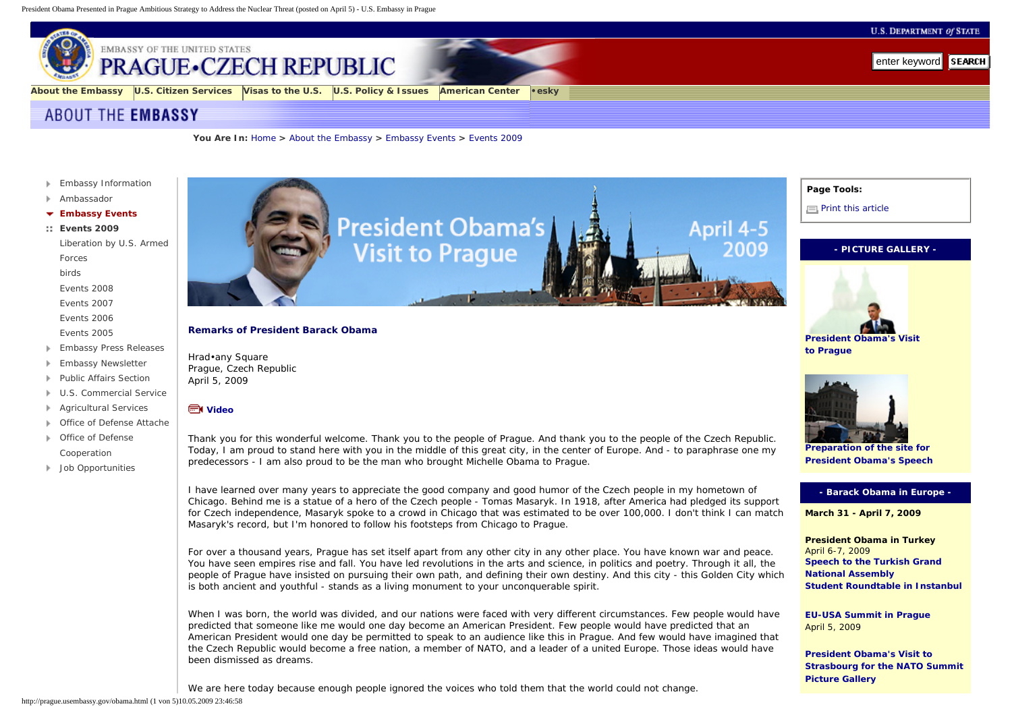**U.S. DEPARTMENT OF STATE** 



# EMBASSY OF THE UNITED STATES

**[About the Embassy](http://prague.usembassy.gov/about_the_embassy.html) [U.S. Citizen Services](http://prague.usembassy.gov/acs_what_we_do.html) [Visas to the U.S.](http://prague.usembassy.gov/visa_services.html) [U.S. Policy & Issues](http://prague.usembassy.gov/policyissues.html) [American Center](http://prague.usembassy.gov/american_center.html) [•esky](http://czech.prague.usembassy.gov/)**

**You Are In:** [Home](http://prague.usembassy.gov/index.html) **>** [About the Embassy](http://prague.usembassy.gov/news.html) **>** [Embassy Events](http://prague.usembassy.gov/embassy_events.html) **>** [Events 2009](http://prague.usembassy.gov/events_2009.html)

- **▶** [Embassy Information](http://prague.usembassy.gov/about_the_embassy.html)
- [Ambassador](http://prague.usembassy.gov/ambassador.html)
- **[Embassy Events](http://prague.usembassy.gov/embassy_events.html)**
- **[Events 2009](http://prague.usembassy.gov/events_2009.html)**
	- [Liberation by U.S. Armed](http://prague.usembassy.gov/liberation2009.html)

[Forces](http://prague.usembassy.gov/liberation2009.html)

[birds](http://prague.usembassy.gov/birds.html)

[Events 2008](http://prague.usembassy.gov/events_2008.html)

[Events 2007](http://prague.usembassy.gov/events_2007.html)

[Events 2006](http://prague.usembassy.gov/events_2006.html)

[Events 2005](http://prague.usembassy.gov/events_2005.html)

**[Embassy Press Releases](http://prague.usembassy.gov/press_releases2.html)** 

[Embassy Newsletter](http://prague.usembassy.gov/newsletter.html)

- [Public Affairs Section](http://prague.usembassy.gov/pas.html)
- [U.S. Commercial Service](http://prague.usembassy.gov/us_commercial_service.html)
	- [Agricultural Services](http://prague.usembassy.gov/agr.html)
- [Office of Defense Attache](http://prague.usembassy.gov/dao.html)
- [Office of Defense](http://prague.usembassy.gov/odc.html) [Cooperation](http://prague.usembassy.gov/odc.html)
- **[Job Opportunities](http://prague.usembassy.gov/job_opportunities.html)**

<span id="page-0-0"></span>

#### **Remarks of President Barack Obama**

Hrad•any Square Prague, Czech Republic April 5, 2009

### **[Video](http://www.youtube.com/watch?v=_lcpg6yQ0Yw)**

Thank you for this wonderful welcome. Thank you to the people of Prague. And thank you to the people of the Czech Republic. Today, I am proud to stand here with you in the middle of this great city, in the center of Europe. And - to paraphrase one my predecessors - I am also proud to be the man who brought Michelle Obama to Prague.

I have learned over many years to appreciate the good company and good humor of the Czech people in my hometown of Chicago. Behind me is a statue of a hero of the Czech people - Tomas Masaryk. In 1918, after America had pledged its support for Czech independence, Masaryk spoke to a crowd in Chicago that was estimated to be over 100,000. I don't think I can match Masaryk's record, but I'm honored to follow his footsteps from Chicago to Prague.

For over a thousand years, Prague has set itself apart from any other city in any other place. You have known war and peace. You have seen empires rise and fall. You have led revolutions in the arts and science, in politics and poetry. Through it all, the people of Prague have insisted on pursuing their own path, and defining their own destiny. And this city - this Golden City which is both ancient and youthful - stands as a living monument to your unconquerable spirit.

When I was born, the world was divided, and our nations were faced with very different circumstances. Few people would have predicted that someone like me would one day become an American President. Few people would have predicted that an American President would one day be permitted to speak to an audience like this in Prague. And few would have imagined that the Czech Republic would become a free nation, a member of NATO, and a leader of a united Europe. Those ideas would have been dismissed as dreams.

We are here today because enough people ignored the voices who told them that the world could not change.



**- PICTURE GALLERY -**

**Page Tools:**  $\equiv$  [Print this article](http://prague.usembassy.gov/utils/eprintpage.html)



**[Preparation of the site for](http://www.aic.cz/obama-speech-site/)  [President Obama's Speech](http://www.aic.cz/obama-speech-site/)**

## **- Barack Obama in Europe -**

**March 31 - April 7, 2009**

**President Obama in Turkey** April 6-7, 2009 **[Speech to the Turkish Grand](http://www.whitehouse.gov/blog/09/04/06/Crossroads-in-Turkey/)  [National Assembly](http://www.whitehouse.gov/blog/09/04/06/Crossroads-in-Turkey/) [Student Roundtable in Instanbul](http://www.whitehouse.gov/blog/09/04/07/The-Student-Roundtable-in-Turkey/)**

**[EU-USA Summit in Prague](http://www.eu2009.cz/scripts/modules/diary/action.php?id=3391)** April 5, 2009

**[President Obama's Visit to](http://france.usembassy.gov/event090403.html)  [Strasbourg for the NATO Summit](http://france.usembassy.gov/event090403.html) [Picture Gallery](http://photos.state.gov/galleries/france/45989/obamainStrasbourg/)**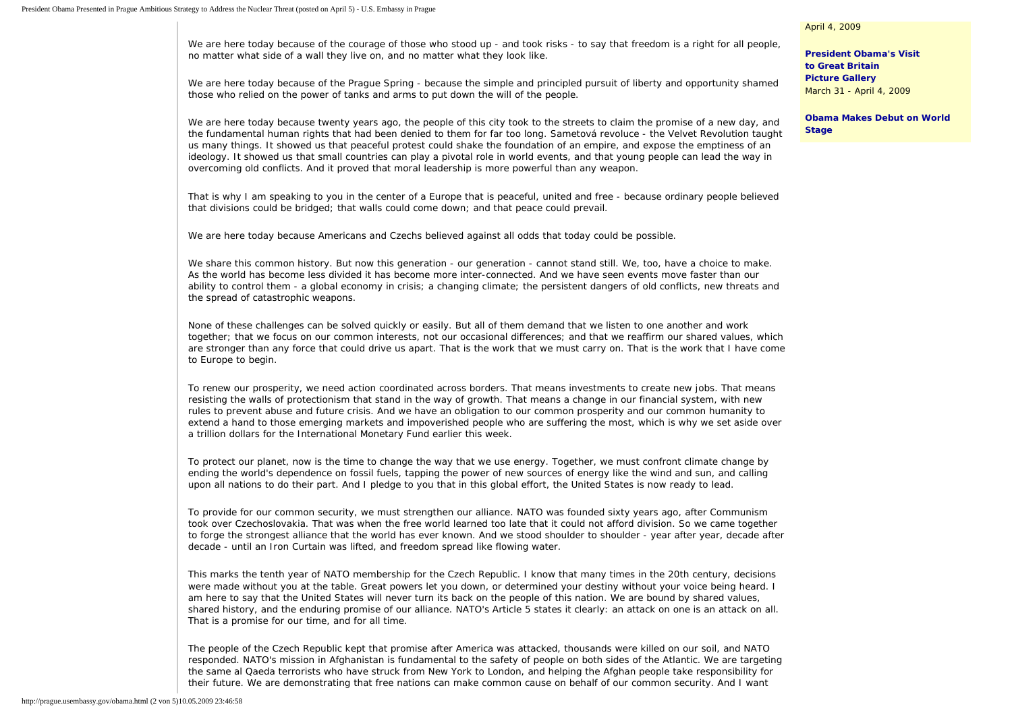We are here today because of the courage of those who stood up - and took risks - to say that freedom is a right for all people, no matter what side of a wall they live on, and no matter what they look like.

We are here today because of the Prague Spring - because the simple and principled pursuit of liberty and opportunity shamed those who relied on the power of tanks and arms to put down the will of the people.

We are here today because twenty years ago, the people of this city took to the streets to claim the promise of a new day, and the fundamental human rights that had been denied to them for far too long. Sametová revoluce - the Velvet Revolution taught us many things. It showed us that peaceful protest could shake the foundation of an empire, and expose the emptiness of an ideology. It showed us that small countries can play a pivotal role in world events, and that young people can lead the way in overcoming old conflicts. And it proved that moral leadership is more powerful than any weapon.

That is why I am speaking to you in the center of a Europe that is peaceful, united and free - because ordinary people believed that divisions could be bridged; that walls could come down; and that peace could prevail.

We are here today because Americans and Czechs believed against all odds that today could be possible.

We share this common history. But now this generation - our generation - cannot stand still. We, too, have a choice to make. As the world has become less divided it has become more inter-connected. And we have seen events move faster than our ability to control them - a global economy in crisis; a changing climate; the persistent dangers of old conflicts, new threats and the spread of catastrophic weapons.

None of these challenges can be solved quickly or easily. But all of them demand that we listen to one another and work together; that we focus on our common interests, not our occasional differences; and that we reaffirm our shared values, which are stronger than any force that could drive us apart. That is the work that we must carry on. That is the work that I have come to Europe to begin.

To renew our prosperity, we need action coordinated across borders. That means investments to create new jobs. That means resisting the walls of protectionism that stand in the way of growth. That means a change in our financial system, with new rules to prevent abuse and future crisis. And we have an obligation to our common prosperity and our common humanity to extend a hand to those emerging markets and impoverished people who are suffering the most, which is why we set aside over a trillion dollars for the International Monetary Fund earlier this week.

To protect our planet, now is the time to change the way that we use energy. Together, we must confront climate change by ending the world's dependence on fossil fuels, tapping the power of new sources of energy like the wind and sun, and calling upon all nations to do their part. And I pledge to you that in this global effort, the United States is now ready to lead.

To provide for our common security, we must strengthen our alliance. NATO was founded sixty years ago, after Communism took over Czechoslovakia. That was when the free world learned too late that it could not afford division. So we came together to forge the strongest alliance that the world has ever known. And we stood shoulder to shoulder - year after year, decade after decade - until an Iron Curtain was lifted, and freedom spread like flowing water.

This marks the tenth year of NATO membership for the Czech Republic. I know that many times in the 20th century, decisions were made without you at the table. Great powers let you down, or determined your destiny without your voice being heard. I am here to say that the United States will never turn its back on the people of this nation. We are bound by shared values, shared history, and the enduring promise of our alliance. NATO's Article 5 states it clearly: an attack on one is an attack on all. That is a promise for our time, and for all time.

The people of the Czech Republic kept that promise after America was attacked, thousands were killed on our soil, and NATO responded. NATO's mission in Afghanistan is fundamental to the safety of people on both sides of the Atlantic. We are targeting the same al Qaeda terrorists who have struck from New York to London, and helping the Afghan people take responsibility for their future. We are demonstrating that free nations can make common cause on behalf of our common security. And I want

#### April 4, 2009

**[President Obama's Visit](http://london.usembassy.gov/potus09april/index.html) [to Great Britain](http://london.usembassy.gov/potus09april/index.html) [Picture Gallery](http://london.usembassy.gov/potus09april/photos.html)** March 31 - April 4, 2009

**[Obama Makes Debut on World](http://www.america.gov/st/peacesec-english/2009/April/20090401161751idybeekcm1.882571e-02.html&distid=ucs)  [Stage](http://www.america.gov/st/peacesec-english/2009/April/20090401161751idybeekcm1.882571e-02.html&distid=ucs)**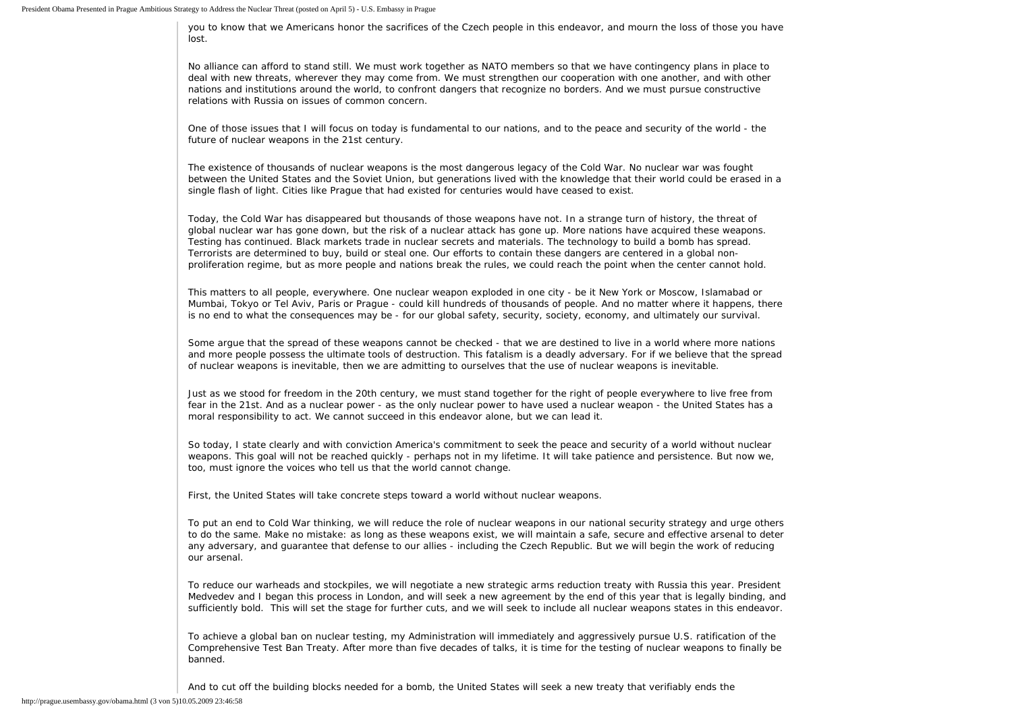you to know that we Americans honor the sacrifices of the Czech people in this endeavor, and mourn the loss of those you have lost.

No alliance can afford to stand still. We must work together as NATO members so that we have contingency plans in place to deal with new threats, wherever they may come from. We must strengthen our cooperation with one another, and with other nations and institutions around the world, to confront dangers that recognize no borders. And we must pursue constructive relations with Russia on issues of common concern.

One of those issues that I will focus on today is fundamental to our nations, and to the peace and security of the world - the future of nuclear weapons in the 21st century.

The existence of thousands of nuclear weapons is the most dangerous legacy of the Cold War. No nuclear war was fought between the United States and the Soviet Union, but generations lived with the knowledge that their world could be erased in a single flash of light. Cities like Prague that had existed for centuries would have ceased to exist.

Today, the Cold War has disappeared but thousands of those weapons have not. In a strange turn of history, the threat of global nuclear war has gone down, but the risk of a nuclear attack has gone up. More nations have acquired these weapons. Testing has continued. Black markets trade in nuclear secrets and materials. The technology to build a bomb has spread. Terrorists are determined to buy, build or steal one. Our efforts to contain these dangers are centered in a global nonproliferation regime, but as more people and nations break the rules, we could reach the point when the center cannot hold.

This matters to all people, everywhere. One nuclear weapon exploded in one city - be it New York or Moscow, Islamabad or Mumbai, Tokyo or Tel Aviv, Paris or Prague - could kill hundreds of thousands of people. And no matter where it happens, there is no end to what the consequences may be - for our global safety, security, society, economy, and ultimately our survival.

Some argue that the spread of these weapons cannot be checked - that we are destined to live in a world where more nations and more people possess the ultimate tools of destruction. This fatalism is a deadly adversary. For if we believe that the spread of nuclear weapons is inevitable, then we are admitting to ourselves that the use of nuclear weapons is inevitable.

Just as we stood for freedom in the 20th century, we must stand together for the right of people everywhere to live free from fear in the 21st. And as a nuclear power - as the only nuclear power to have used a nuclear weapon - the United States has a moral responsibility to act. We cannot succeed in this endeavor alone, but we can lead it.

So today, I state clearly and with conviction America's commitment to seek the peace and security of a world without nuclear weapons. This goal will not be reached quickly - perhaps not in my lifetime. It will take patience and persistence. But now we, too, must ignore the voices who tell us that the world cannot change.

First, the United States will take concrete steps toward a world without nuclear weapons.

To put an end to Cold War thinking, we will reduce the role of nuclear weapons in our national security strategy and urge others to do the same. Make no mistake: as long as these weapons exist, we will maintain a safe, secure and effective arsenal to deter any adversary, and guarantee that defense to our allies - including the Czech Republic. But we will begin the work of reducing our arsenal.

To reduce our warheads and stockpiles, we will negotiate a new strategic arms reduction treaty with Russia this year. President Medvedev and I began this process in London, and will seek a new agreement by the end of this year that is legally binding, and sufficiently bold. This will set the stage for further cuts, and we will seek to include all nuclear weapons states in this endeavor.

To achieve a global ban on nuclear testing, my Administration will immediately and aggressively pursue U.S. ratification of the Comprehensive Test Ban Treaty. After more than five decades of talks, it is time for the testing of nuclear weapons to finally be banned.

And to cut off the building blocks needed for a bomb, the United States will seek a new treaty that verifiably ends the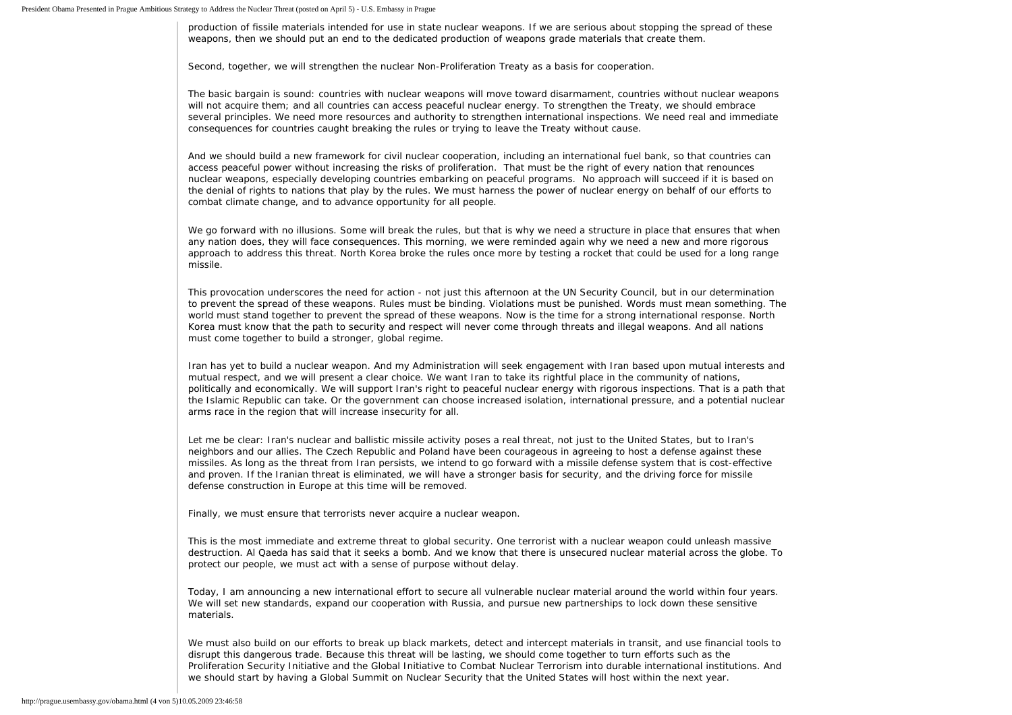production of fissile materials intended for use in state nuclear weapons. If we are serious about stopping the spread of these weapons, then we should put an end to the dedicated production of weapons grade materials that create them.

Second, together, we will strengthen the nuclear Non-Proliferation Treaty as a basis for cooperation.

The basic bargain is sound: countries with nuclear weapons will move toward disarmament, countries without nuclear weapons will not acquire them; and all countries can access peaceful nuclear energy. To strengthen the Treaty, we should embrace several principles. We need more resources and authority to strengthen international inspections. We need real and immediate consequences for countries caught breaking the rules or trying to leave the Treaty without cause.

And we should build a new framework for civil nuclear cooperation, including an international fuel bank, so that countries can access peaceful power without increasing the risks of proliferation. That must be the right of every nation that renounces nuclear weapons, especially developing countries embarking on peaceful programs. No approach will succeed if it is based on the denial of rights to nations that play by the rules. We must harness the power of nuclear energy on behalf of our efforts to combat climate change, and to advance opportunity for all people.

We go forward with no illusions. Some will break the rules, but that is why we need a structure in place that ensures that when any nation does, they will face consequences. This morning, we were reminded again why we need a new and more rigorous approach to address this threat. North Korea broke the rules once more by testing a rocket that could be used for a long range missile.

This provocation underscores the need for action - not just this afternoon at the UN Security Council, but in our determination to prevent the spread of these weapons. Rules must be binding. Violations must be punished. Words must mean something. The world must stand together to prevent the spread of these weapons. Now is the time for a strong international response. North Korea must know that the path to security and respect will never come through threats and illegal weapons. And all nations must come together to build a stronger, global regime.

Iran has yet to build a nuclear weapon. And my Administration will seek engagement with Iran based upon mutual interests and mutual respect, and we will present a clear choice. We want Iran to take its rightful place in the community of nations, politically and economically. We will support Iran's right to peaceful nuclear energy with rigorous inspections. That is a path that the Islamic Republic can take. Or the government can choose increased isolation, international pressure, and a potential nuclear arms race in the region that will increase insecurity for all.

Let me be clear: Iran's nuclear and ballistic missile activity poses a real threat, not just to the United States, but to Iran's neighbors and our allies. The Czech Republic and Poland have been courageous in agreeing to host a defense against these missiles. As long as the threat from Iran persists, we intend to go forward with a missile defense system that is cost-effective and proven. If the Iranian threat is eliminated, we will have a stronger basis for security, and the driving force for missile defense construction in Europe at this time will be removed.

Finally, we must ensure that terrorists never acquire a nuclear weapon.

This is the most immediate and extreme threat to global security. One terrorist with a nuclear weapon could unleash massive destruction. Al Qaeda has said that it seeks a bomb. And we know that there is unsecured nuclear material across the globe. To protect our people, we must act with a sense of purpose without delay.

Today, I am announcing a new international effort to secure all vulnerable nuclear material around the world within four years. We will set new standards, expand our cooperation with Russia, and pursue new partnerships to lock down these sensitive materials.

We must also build on our efforts to break up black markets, detect and intercept materials in transit, and use financial tools to disrupt this dangerous trade. Because this threat will be lasting, we should come together to turn efforts such as the Proliferation Security Initiative and the Global Initiative to Combat Nuclear Terrorism into durable international institutions. And we should start by having a Global Summit on Nuclear Security that the United States will host within the next year.